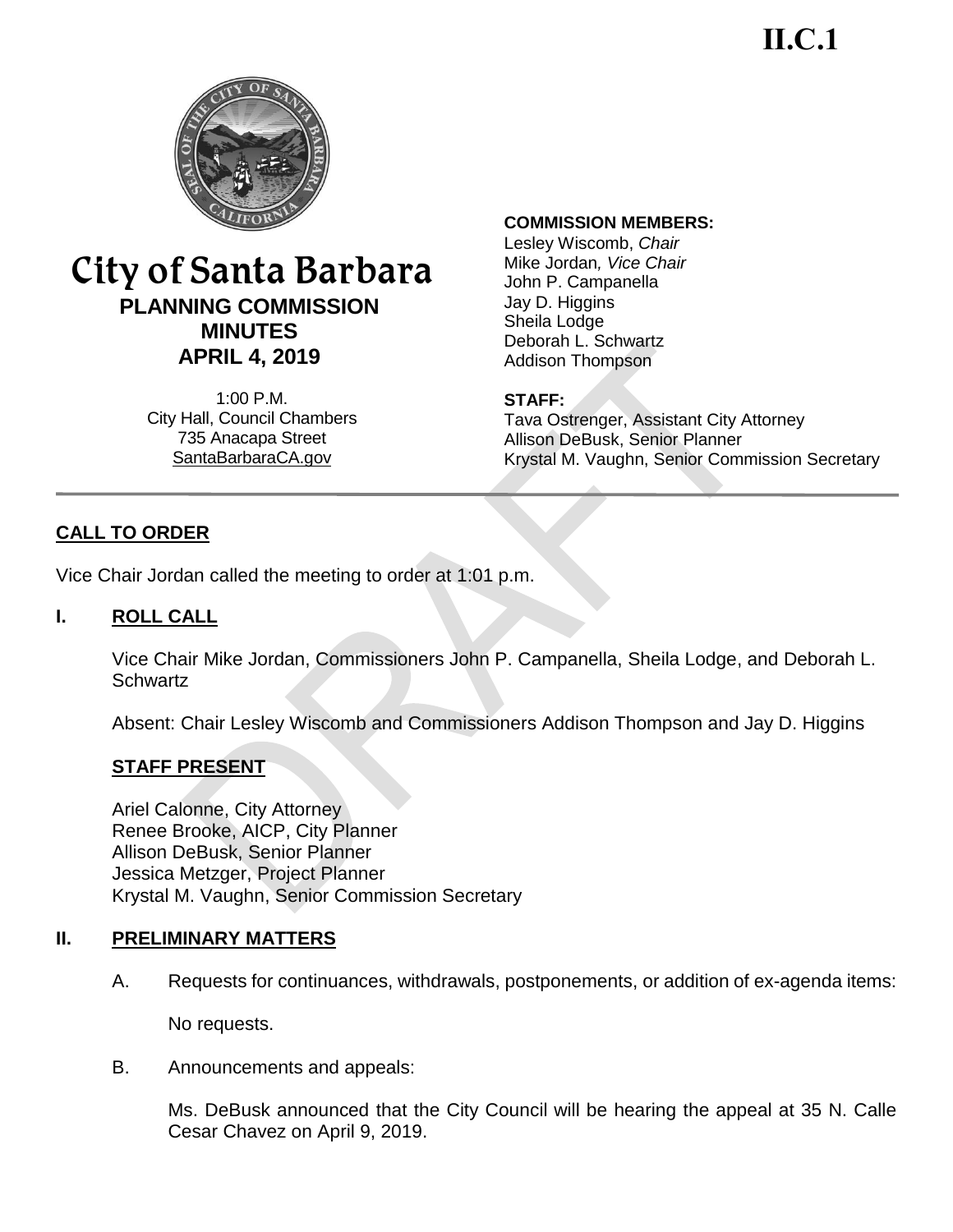**II.C.1**



# City of Santa Barbara **PLANNING COMMISSION MINUTES APRIL 4, 2019**

1:00 P.M. City Hall, Council Chambers 735 Anacapa Street SantaBarbaraCA.gov

#### **COMMISSION MEMBERS:**

Lesley Wiscomb, *Chair* Mike Jordan*, Vice Chair*  John P. Campanella Jay D. Higgins Sheila Lodge Deborah L. Schwartz Addison Thompson

#### **STAFF:**

Tava Ostrenger, Assistant City Attorney Allison DeBusk, Senior Planner Krystal M. Vaughn, Senior Commission Secretary

# **CALL TO ORDER**

Vice Chair Jordan called the meeting to order at 1:01 p.m.

#### **I. ROLL CALL**

Vice Chair Mike Jordan, Commissioners John P. Campanella, Sheila Lodge, and Deborah L. **Schwartz** 

Absent: Chair Lesley Wiscomb and Commissioners Addison Thompson and Jay D. Higgins

### **STAFF PRESENT**

Ariel Calonne, City Attorney Renee Brooke, AICP, City Planner Allison DeBusk, Senior Planner Jessica Metzger, Project Planner Krystal M. Vaughn, Senior Commission Secretary

#### **II. PRELIMINARY MATTERS**

A. Requests for continuances, withdrawals, postponements, or addition of ex-agenda items:

No requests.

B. Announcements and appeals:

Ms. DeBusk announced that the City Council will be hearing the appeal at 35 N. Calle Cesar Chavez on April 9, 2019.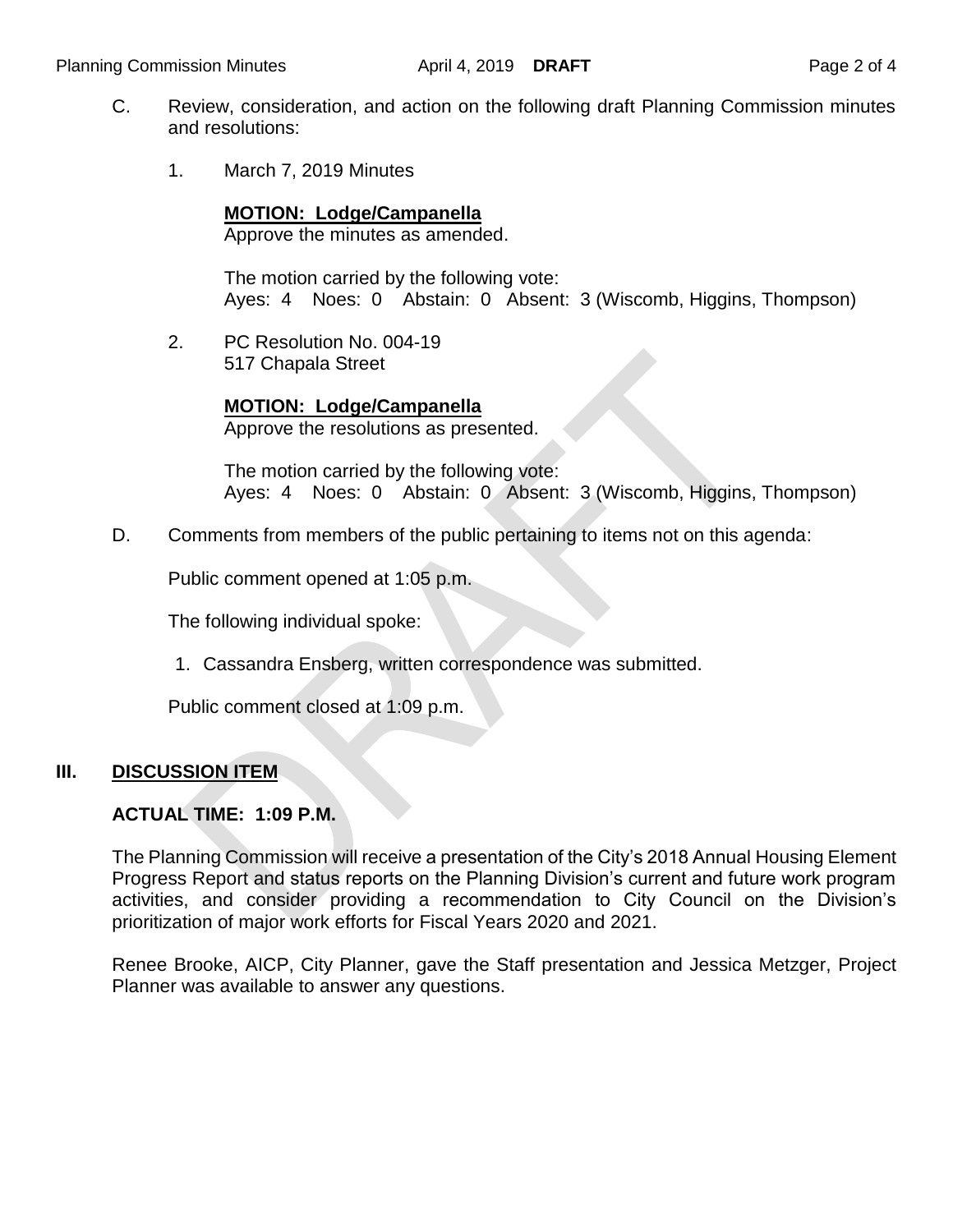- C. Review, consideration, and action on the following draft Planning Commission minutes and resolutions:
	- 1. March 7, 2019 Minutes

**MOTION: Lodge/Campanella**

Approve the minutes as amended.

The motion carried by the following vote: Ayes: 4 Noes: 0 Abstain: 0 Absent: 3 (Wiscomb, Higgins, Thompson)

2. PC Resolution No. 004-19 517 Chapala Street

> **MOTION: Lodge/Campanella** Approve the resolutions as presented.

The motion carried by the following vote: Ayes: 4 Noes: 0 Abstain: 0 Absent: 3 (Wiscomb, Higgins, Thompson)

D. Comments from members of the public pertaining to items not on this agenda:

Public comment opened at 1:05 p.m.

The following individual spoke:

1. Cassandra Ensberg, written correspondence was submitted.

Public comment closed at 1:09 p.m.

#### **III. DISCUSSION ITEM**

### **ACTUAL TIME: 1:09 P.M.**

The Planning Commission will receive a presentation of the City's 2018 Annual Housing Element Progress Report and status reports on the Planning Division's current and future work program activities, and consider providing a recommendation to City Council on the Division's prioritization of major work efforts for Fiscal Years 2020 and 2021.

Renee Brooke, AICP, City Planner, gave the Staff presentation and Jessica Metzger, Project Planner was available to answer any questions.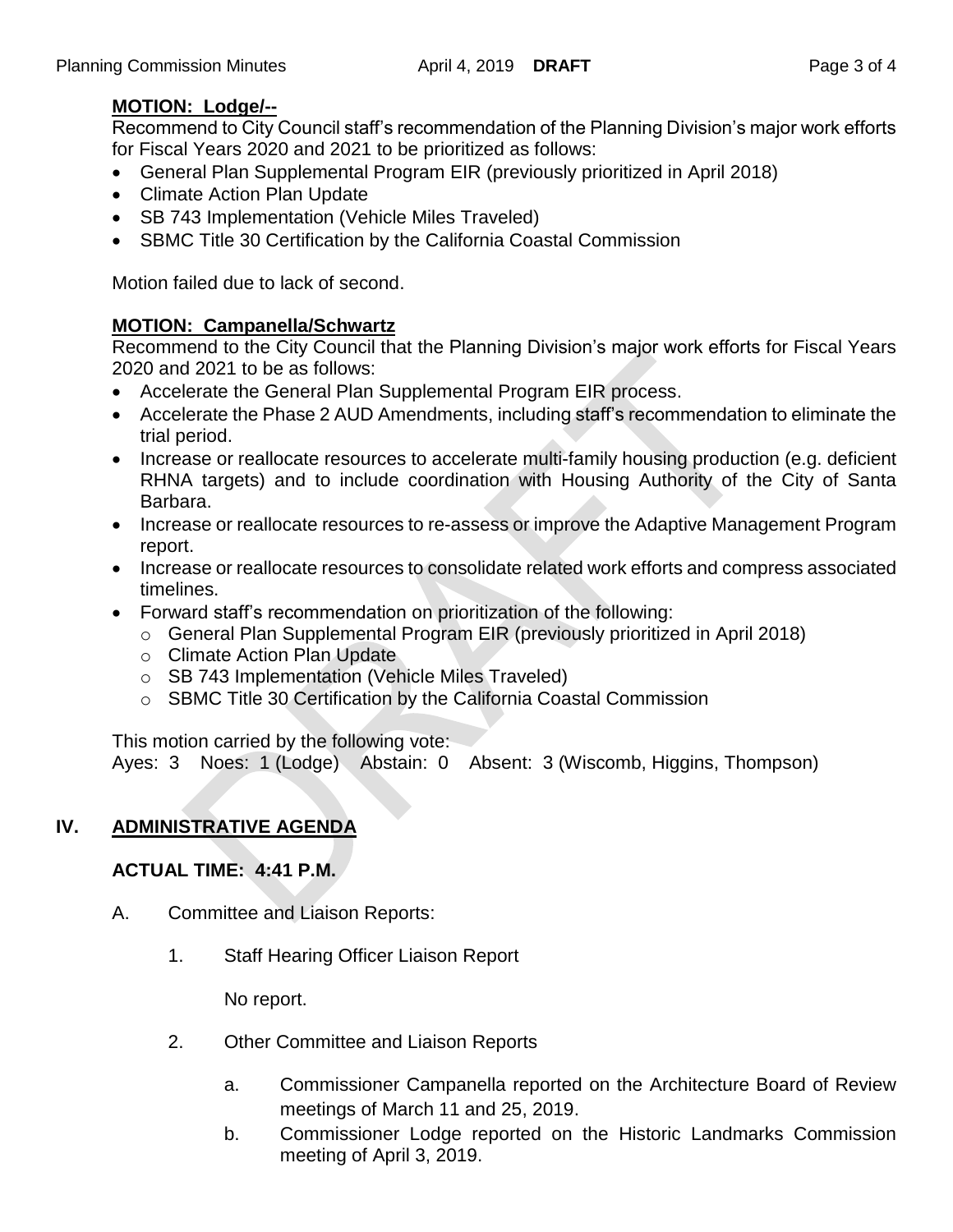# **MOTION: Lodge/--**

Recommend to City Council staff's recommendation of the Planning Division's major work efforts for Fiscal Years 2020 and 2021 to be prioritized as follows:

- General Plan Supplemental Program EIR (previously prioritized in April 2018)
- Climate Action Plan Update
- SB 743 Implementation (Vehicle Miles Traveled)
- SBMC Title 30 Certification by the California Coastal Commission

Motion failed due to lack of second.

### **MOTION: Campanella/Schwartz**

Recommend to the City Council that the Planning Division's major work efforts for Fiscal Years 2020 and 2021 to be as follows:

- Accelerate the General Plan Supplemental Program EIR process.
- Accelerate the Phase 2 AUD Amendments, including staff's recommendation to eliminate the trial period.
- Increase or reallocate resources to accelerate multi-family housing production (e.g. deficient RHNA targets) and to include coordination with Housing Authority of the City of Santa Barbara.
- Increase or reallocate resources to re-assess or improve the Adaptive Management Program report.
- Increase or reallocate resources to consolidate related work efforts and compress associated timelines.
- Forward staff's recommendation on prioritization of the following:
	- o General Plan Supplemental Program EIR (previously prioritized in April 2018)
	- o Climate Action Plan Update
	- o SB 743 Implementation (Vehicle Miles Traveled)
	- o SBMC Title 30 Certification by the California Coastal Commission

This motion carried by the following vote:

Ayes: 3 Noes: 1 (Lodge) Abstain: 0 Absent: 3 (Wiscomb, Higgins, Thompson)

# **IV. ADMINISTRATIVE AGENDA**

# **ACTUAL TIME: 4:41 P.M.**

- A. Committee and Liaison Reports:
	- 1. Staff Hearing Officer Liaison Report

No report.

- 2. Other Committee and Liaison Reports
	- a. Commissioner Campanella reported on the Architecture Board of Review meetings of March 11 and 25, 2019.
	- b. Commissioner Lodge reported on the Historic Landmarks Commission meeting of April 3, 2019.